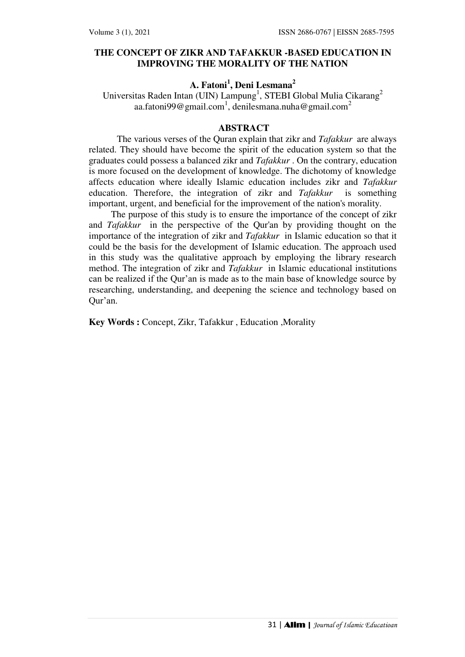## **THE CONCEPT OF ZIKR AND TAFAKKUR -BASED EDUCATION IN IMPROVING THE MORALITY OF THE NATION**

# **A. Fatoni<sup>1</sup> , Deni Lesmana<sup>2</sup>**

Universitas Raden Intan (UIN) Lampung<sup>1</sup>, STEBI Global Mulia Cikarang<sup>2</sup> aa.fatoni $99@$ gmail.com $^1$ , denilesmana.nuha@gmail.com $^2$ 

## **ABSTRACT**

The various verses of the Quran explain that zikr and *Tafakkur* are always related. They should have become the spirit of the education system so that the graduates could possess a balanced zikr and *Tafakkur* . On the contrary, education is more focused on the development of knowledge. The dichotomy of knowledge affects education where ideally Islamic education includes zikr and *Tafakkur*  education. Therefore, the integration of zikr and *Tafakkur* is something important, urgent, and beneficial for the improvement of the nation's morality.

The purpose of this study is to ensure the importance of the concept of zikr and *Tafakkur* in the perspective of the Qur'an by providing thought on the importance of the integration of zikr and *Tafakkur* in Islamic education so that it could be the basis for the development of Islamic education. The approach used in this study was the qualitative approach by employing the library research method. The integration of zikr and *Tafakkur* in Islamic educational institutions can be realized if the Qur'an is made as to the main base of knowledge source by researching, understanding, and deepening the science and technology based on Qur'an.

**Key Words :** Concept, Zikr, Tafakkur , Education ,Morality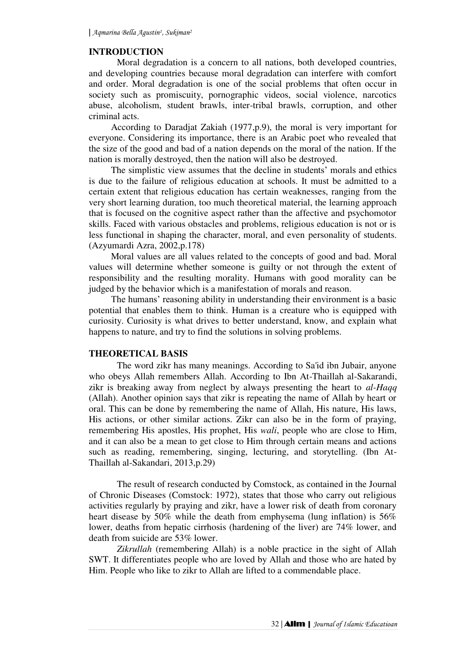## **INTRODUCTION**

Moral degradation is a concern to all nations, both developed countries, and developing countries because moral degradation can interfere with comfort and order. Moral degradation is one of the social problems that often occur in society such as promiscuity, pornographic videos, social violence, narcotics abuse, alcoholism, student brawls, inter-tribal brawls, corruption, and other criminal acts.

According to Daradjat Zakiah (1977,p.9), the moral is very important for everyone. Considering its importance, there is an Arabic poet who revealed that the size of the good and bad of a nation depends on the moral of the nation. If the nation is morally destroyed, then the nation will also be destroyed.

The simplistic view assumes that the decline in students' morals and ethics is due to the failure of religious education at schools. It must be admitted to a certain extent that religious education has certain weaknesses, ranging from the very short learning duration, too much theoretical material, the learning approach that is focused on the cognitive aspect rather than the affective and psychomotor skills. Faced with various obstacles and problems, religious education is not or is less functional in shaping the character, moral, and even personality of students. (Azyumardi Azra, 2002,p.178)

Moral values are all values related to the concepts of good and bad. Moral values will determine whether someone is guilty or not through the extent of responsibility and the resulting morality. Humans with good morality can be judged by the behavior which is a manifestation of morals and reason.

The humans' reasoning ability in understanding their environment is a basic potential that enables them to think. Human is a creature who is equipped with curiosity. Curiosity is what drives to better understand, know, and explain what happens to nature, and try to find the solutions in solving problems.

## **THEORETICAL BASIS**

 The word zikr has many meanings. According to Sa'id ibn Jubair, anyone who obeys Allah remembers Allah. According to Ibn At-Thaillah al-Sakarandi, zikr is breaking away from neglect by always presenting the heart to *al-Haqq* (Allah). Another opinion says that zikr is repeating the name of Allah by heart or oral. This can be done by remembering the name of Allah, His nature, His laws, His actions, or other similar actions. Zikr can also be in the form of praying, remembering His apostles, His prophet, His *wali*, people who are close to Him, and it can also be a mean to get close to Him through certain means and actions such as reading, remembering, singing, lecturing, and storytelling. (Ibn At-Thaillah al-Sakandari, 2013,p.29)

The result of research conducted by Comstock, as contained in the Journal of Chronic Diseases (Comstock: 1972), states that those who carry out religious activities regularly by praying and zikr, have a lower risk of death from coronary heart disease by 50% while the death from emphysema (lung inflation) is 56% lower, deaths from hepatic cirrhosis (hardening of the liver) are 74% lower, and death from suicide are 53% lower.

*Zikrullah* (remembering Allah) is a noble practice in the sight of Allah SWT. It differentiates people who are loved by Allah and those who are hated by Him. People who like to zikr to Allah are lifted to a commendable place.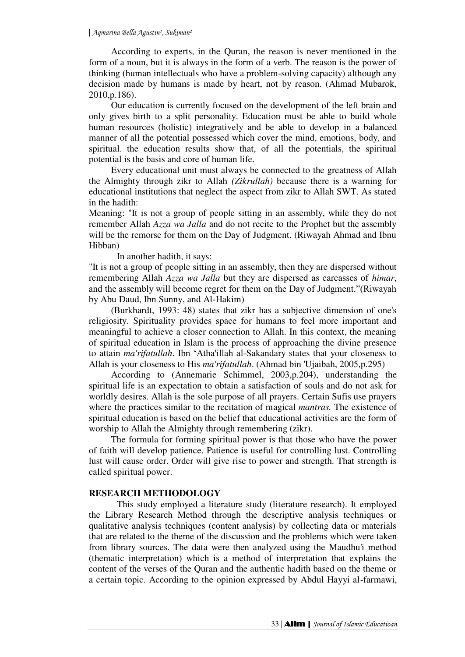According to experts, in the Quran, the reason is never mentioned in the form of a noun, but it is always in the form of a verb. The reason is the power of thinking (human intellectuals who have a problem-solving capacity) although any decision made by humans is made by heart, not by reason. (Ahmad Mubarok, 2010,p.186).

Our education is currently focused on the development of the left brain and only gives birth to a split personality. Education must be able to build whole human resources (holistic) integratively and be able to develop in a balanced manner of all the potential possessed which cover the mind, emotions, body, and spiritual. the education results show that, of all the potentials, the spiritual potential is the basis and core of human life.

Every educational unit must always be connected to the greatness of Allah the Almighty through zikr to Allah *(Zikrullah)* because there is a warning for educational institutions that neglect the aspect from zikr to Allah SWT. As stated in the hadith:

Meaning: "It is not a group of people sitting in an assembly, while they do not remember Allah *Azza wa Jalla* and do not recite to the Prophet but the assembly will be the remorse for them on the Day of Judgment. (Riwayah Ahmad and Ibnu Hibban)

In another hadith, it says:

"It is not a group of people sitting in an assembly, then they are dispersed without remembering Allah *Azza wa Jalla* but they are dispersed as carcasses of *himar*, and the assembly will become regret for them on the Day of Judgment."(Riwayah by Abu Daud, Ibn Sunny, and Al-Hakim)

(Burkhardt, 1993: 48) states that zikr has a subjective dimension of one's religiosity. Spirituality provides space for humans to feel more important and meaningful to achieve a closer connection to Allah. In this context, the meaning of spiritual education in Islam is the process of approaching the divine presence to attain *ma'rifatullah*. Ibn ʻAtha'illah al-Sakandary states that your closeness to Allah is your closeness to His *ma'rifatullah*. (Ahmad bin 'Ujaibah, 2005,p.295)

According to (Annemarie Schimmel, 2003,p.204), understanding the spiritual life is an expectation to obtain a satisfaction of souls and do not ask for worldly desires. Allah is the sole purpose of all prayers. Certain Sufis use prayers where the practices similar to the recitation of magical *mantras.* The existence of spiritual education is based on the belief that educational activities are the form of worship to Allah the Almighty through remembering (zikr).

The formula for forming spiritual power is that those who have the power of faith will develop patience. Patience is useful for controlling lust. Controlling lust will cause order. Order will give rise to power and strength. That strength is called spiritual power.

## **RESEARCH METHODOLOGY**

This study employed a literature study (literature research). It employed the Library Research Method through the descriptive analysis techniques or qualitative analysis techniques (content analysis) by collecting data or materials that are related to the theme of the discussion and the problems which were taken from library sources. The data were then analyzed using the Maudhu'i method (thematic interpretation) which is a method of interpretation that explains the content of the verses of the Quran and the authentic hadith based on the theme or a certain topic. According to the opinion expressed by Abdul Hayyi al-farmawi,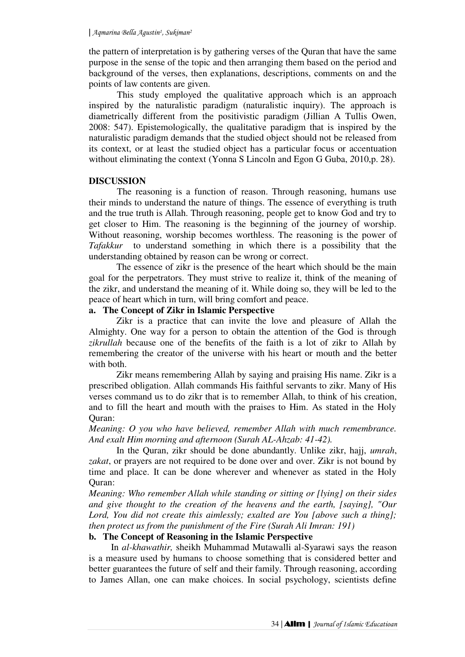the pattern of interpretation is by gathering verses of the Quran that have the same purpose in the sense of the topic and then arranging them based on the period and background of the verses, then explanations, descriptions, comments on and the points of law contents are given.

This study employed the qualitative approach which is an approach inspired by the naturalistic paradigm (naturalistic inquiry). The approach is diametrically different from the positivistic paradigm (Jillian A Tullis Owen, 2008: 547). Epistemologically, the qualitative paradigm that is inspired by the naturalistic paradigm demands that the studied object should not be released from its context, or at least the studied object has a particular focus or accentuation without eliminating the context (Yonna S Lincoln and Egon G Guba, *2*010,p. 28).

#### **DISCUSSION**

The reasoning is a function of reason. Through reasoning, humans use their minds to understand the nature of things. The essence of everything is truth and the true truth is Allah. Through reasoning, people get to know God and try to get closer to Him. The reasoning is the beginning of the journey of worship. Without reasoning, worship becomes worthless. The reasoning is the power of *Tafakkur* to understand something in which there is a possibility that the understanding obtained by reason can be wrong or correct.

The essence of zikr is the presence of the heart which should be the main goal for the perpetrators. They must strive to realize it, think of the meaning of the zikr, and understand the meaning of it. While doing so, they will be led to the peace of heart which in turn, will bring comfort and peace.

#### **a. The Concept of Zikr in Islamic Perspective**

 Zikr is a practice that can invite the love and pleasure of Allah the Almighty. One way for a person to obtain the attention of the God is through *zikrullah* because one of the benefits of the faith is a lot of zikr to Allah by remembering the creator of the universe with his heart or mouth and the better with both.

Zikr means remembering Allah by saying and praising His name. Zikr is a prescribed obligation. Allah commands His faithful servants to zikr. Many of His verses command us to do zikr that is to remember Allah, to think of his creation, and to fill the heart and mouth with the praises to Him. As stated in the Holy Quran:

*Meaning: O you who have believed, remember Allah with much remembrance. And exalt Him morning and afternoon (Surah AL-Ahzab: 41-42).* 

In the Quran, zikr should be done abundantly. Unlike zikr, hajj, *umrah*, *zakat*, or prayers are not required to be done over and over. Zikr is not bound by time and place. It can be done wherever and whenever as stated in the Holy Quran:

*Meaning: Who remember Allah while standing or sitting or [lying] on their sides and give thought to the creation of the heavens and the earth, [saying], "Our Lord, You did not create this aimlessly; exalted are You [above such a thing]; then protect us from the punishment of the Fire (Surah Ali Imran: 191)* 

### **b. The Concept of Reasoning in the Islamic Perspective**

In *al-khawathir,* sheikh Muhammad Mutawalli al-Syarawi says the reason is a measure used by humans to choose something that is considered better and better guarantees the future of self and their family. Through reasoning, according to James Allan, one can make choices. In social psychology, scientists define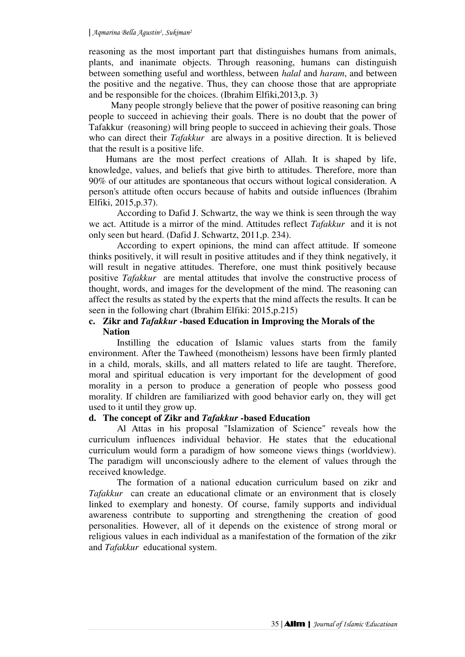reasoning as the most important part that distinguishes humans from animals, plants, and inanimate objects. Through reasoning, humans can distinguish between something useful and worthless, between *halal* and *haram*, and between the positive and the negative. Thus, they can choose those that are appropriate and be responsible for the choices. (Ibrahim Elfiki,2013,p. 3)

Many people strongly believe that the power of positive reasoning can bring people to succeed in achieving their goals. There is no doubt that the power of Tafakkur (reasoning) will bring people to succeed in achieving their goals. Those who can direct their *Tafakkur* are always in a positive direction. It is believed that the result is a positive life.

Humans are the most perfect creations of Allah. It is shaped by life, knowledge, values, and beliefs that give birth to attitudes. Therefore, more than 90% of our attitudes are spontaneous that occurs without logical consideration. A person's attitude often occurs because of habits and outside influences (Ibrahim Elfiki, 2015,p.37).

According to Dafid J. Schwartz, the way we think is seen through the way we act. Attitude is a mirror of the mind. Attitudes reflect *Tafakkur* and it is not only seen but heard. (Dafid J. Schwartz, 2011,p. 234).

According to expert opinions, the mind can affect attitude. If someone thinks positively, it will result in positive attitudes and if they think negatively, it will result in negative attitudes. Therefore, one must think positively because positive *Tafakkur* are mental attitudes that involve the constructive process of thought, words, and images for the development of the mind. The reasoning can affect the results as stated by the experts that the mind affects the results. It can be seen in the following chart (Ibrahim Elfiki: 2015,p.215)

## **c. Zikr and** *Tafakkur* **-based Education in Improving the Morals of the Nation**

Instilling the education of Islamic values starts from the family environment. After the Tawheed (monotheism) lessons have been firmly planted in a child, morals, skills, and all matters related to life are taught. Therefore, moral and spiritual education is very important for the development of good morality in a person to produce a generation of people who possess good morality. If children are familiarized with good behavior early on, they will get used to it until they grow up.

## **d. The concept of Zikr and** *Tafakkur* **-based Education**

Al Attas in his proposal "Islamization of Science" reveals how the curriculum influences individual behavior. He states that the educational curriculum would form a paradigm of how someone views things (worldview). The paradigm will unconsciously adhere to the element of values through the received knowledge.

The formation of a national education curriculum based on zikr and *Tafakkur* can create an educational climate or an environment that is closely linked to exemplary and honesty. Of course, family supports and individual awareness contribute to supporting and strengthening the creation of good personalities. However, all of it depends on the existence of strong moral or religious values in each individual as a manifestation of the formation of the zikr and *Tafakkur* educational system.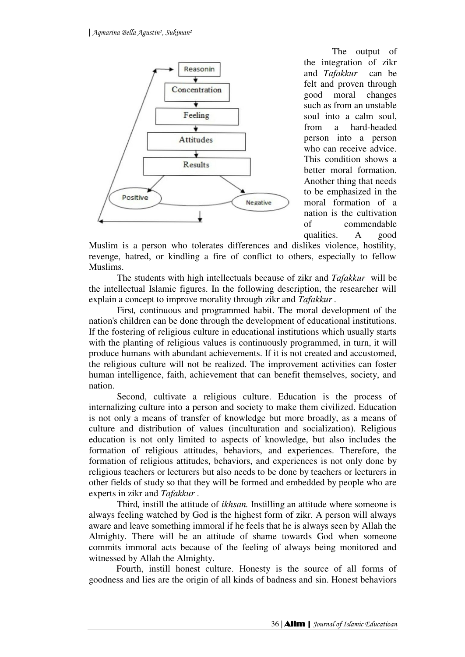

The output of the integration of zikr and *Tafakkur* can be felt and proven through good moral changes such as from an unstable soul into a calm soul, from a hard-headed person into a person who can receive advice. This condition shows a better moral formation. Another thing that needs to be emphasized in the moral formation of a nation is the cultivation of commendable qualities. A good

Muslim is a person who tolerates differences and dislikes violence, hostility, revenge, hatred, or kindling a fire of conflict to others, especially to fellow Muslims.

The students with high intellectuals because of zikr and *Tafakkur* will be the intellectual Islamic figures. In the following description, the researcher will explain a concept to improve morality through zikr and *Tafakkur .*

First*,* continuous and programmed habit. The moral development of the nation's children can be done through the development of educational institutions. If the fostering of religious culture in educational institutions which usually starts with the planting of religious values is continuously programmed, in turn, it will produce humans with abundant achievements. If it is not created and accustomed, the religious culture will not be realized. The improvement activities can foster human intelligence, faith, achievement that can benefit themselves, society, and nation.

Second, cultivate a religious culture. Education is the process of internalizing culture into a person and society to make them civilized. Education is not only a means of transfer of knowledge but more broadly, as a means of culture and distribution of values (inculturation and socialization). Religious education is not only limited to aspects of knowledge, but also includes the formation of religious attitudes, behaviors, and experiences. Therefore, the formation of religious attitudes, behaviors, and experiences is not only done by religious teachers or lecturers but also needs to be done by teachers or lecturers in other fields of study so that they will be formed and embedded by people who are experts in zikr and *Tafakkur* .

Third*,* instill the attitude of *ikhsan.* Instilling an attitude where someone is always feeling watched by God is the highest form of zikr. A person will always aware and leave something immoral if he feels that he is always seen by Allah the Almighty. There will be an attitude of shame towards God when someone commits immoral acts because of the feeling of always being monitored and witnessed by Allah the Almighty.

Fourth, instill honest culture. Honesty is the source of all forms of goodness and lies are the origin of all kinds of badness and sin. Honest behaviors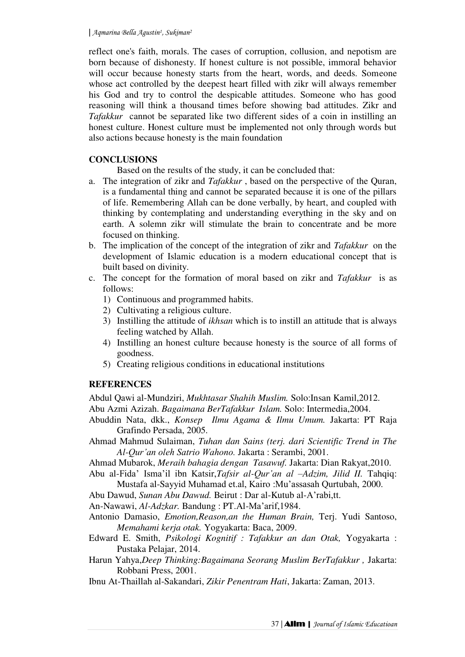reflect one's faith, morals. The cases of corruption, collusion, and nepotism are born because of dishonesty. If honest culture is not possible, immoral behavior will occur because honesty starts from the heart, words, and deeds. Someone whose act controlled by the deepest heart filled with zikr will always remember his God and try to control the despicable attitudes. Someone who has good reasoning will think a thousand times before showing bad attitudes. Zikr and *Tafakkur* cannot be separated like two different sides of a coin in instilling an honest culture. Honest culture must be implemented not only through words but also actions because honesty is the main foundation

## **CONCLUSIONS**

Based on the results of the study, it can be concluded that:

- a. The integration of zikr and *Tafakkur* , based on the perspective of the Quran, is a fundamental thing and cannot be separated because it is one of the pillars of life. Remembering Allah can be done verbally, by heart, and coupled with thinking by contemplating and understanding everything in the sky and on earth. A solemn zikr will stimulate the brain to concentrate and be more focused on thinking.
- b. The implication of the concept of the integration of zikr and *Tafakkur* on the development of Islamic education is a modern educational concept that is built based on divinity.
- c. The concept for the formation of moral based on zikr and *Tafakkur* is as follows:
	- 1) Continuous and programmed habits.
	- 2) Cultivating a religious culture.
	- 3) Instilling the attitude of *ikhsan* which is to instill an attitude that is always feeling watched by Allah.
	- 4) Instilling an honest culture because honesty is the source of all forms of goodness.
	- 5) Creating religious conditions in educational institutions

# **REFERENCES**

Abdul Qawi al-Mundziri, *Mukhtasar Shahih Muslim.* Solo:Insan Kamil,2012. Abu Azmi Azizah. *Bagaimana BerTafakkur Islam.* Solo: Intermedia,2004.

- Abuddin Nata, dkk., *Konsep Ilmu Agama & Ilmu Umum.* Jakarta: PT Raja Grafindo Persada, 2005.
- Ahmad Mahmud Sulaiman, *Tuhan dan Sains (terj. dari Scientific Trend in The Al-Qur'an oleh Satrio Wahono.* Jakarta : Serambi, 2001.

Ahmad Mubarok, *Meraih bahagia dengan Tasawuf.* Jakarta: Dian Rakyat,2010.

Abu al-Fida' Isma'il ibn Katsir,*Tafsir al-Qur'an al –Adzim, Jilid II.* Tahqiq:

Mustafa al-Sayyid Muhamad et.al, Kairo :Mu'assasah Qurtubah, 2000.

Abu Dawud, *Sunan Abu Dawud.* Beirut : Dar al-Kutub al-A'rabi,tt.

An-Nawawi, *Al-Adzkar.* Bandung : PT.Al-Ma'arif,1984.

- Antonio Damasio, *Emotion,Reason,an the Human Brain,* Terj. Yudi Santoso, *Memahami kerja otak.* Yogyakarta: Baca, 2009.
- Edward E. Smith, *Psikologi Kognitif : Tafakkur an dan Otak,* Yogyakarta : Pustaka Pelajar, 2014.
- Harun Yahya,*Deep Thinking:Bagaimana Seorang Muslim BerTafakkur ,* Jakarta: Robbani Press, 2001.

Ibnu At-Thaillah al-Sakandari, *Zikir Penentram Hati*, Jakarta: Zaman, 2013.